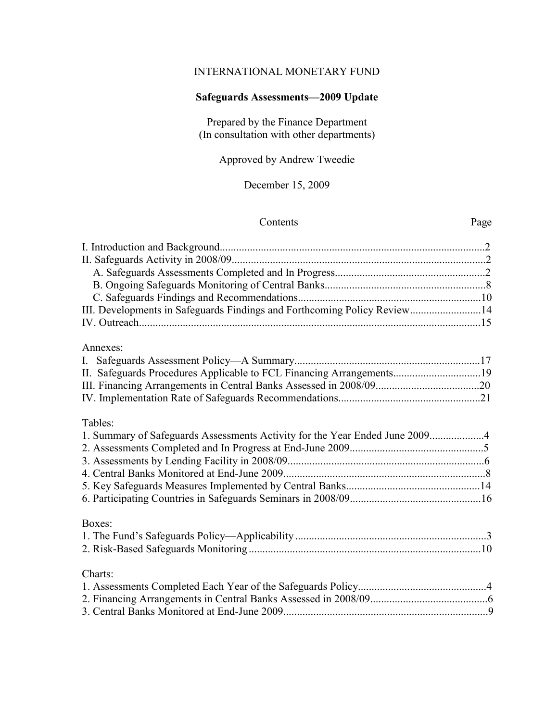### INTERNATIONAL MONETARY FUND

# **Safeguards Assessments—2009 Update**

Prepared by the Finance Department (In consultation with other departments)

Approved by Andrew Tweedie

December 15, 2009

# Contents Page

| III. Developments in Safeguards Findings and Forthcoming Policy Review14               |  |
|----------------------------------------------------------------------------------------|--|
| Annexes:<br>II. Safeguards Procedures Applicable to FCL Financing Arrangements19       |  |
| Tables:<br>1. Summary of Safeguards Assessments Activity for the Year Ended June 20094 |  |
| Boxes:                                                                                 |  |
| Charts:                                                                                |  |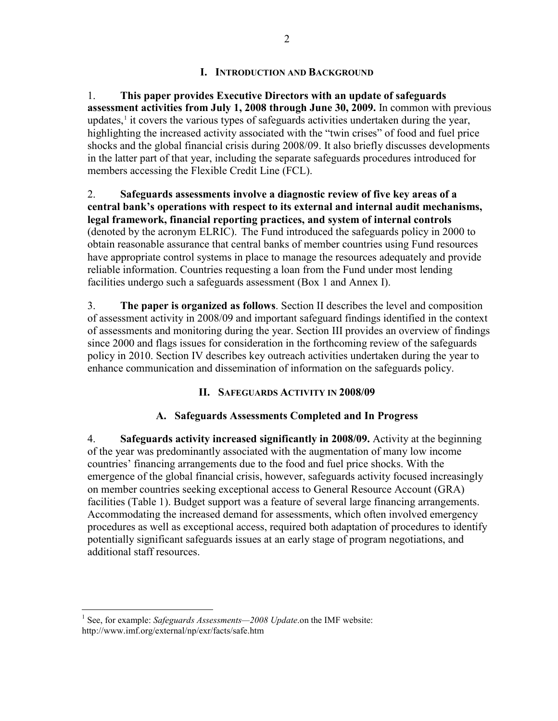#### **I. INTRODUCTION AND BACKGROUND**

1. **This paper provides Executive Directors with an update of safeguards assessment activities from July 1, 2008 through June 30, 2009.** In common with previous updates, $<sup>1</sup>$  $<sup>1</sup>$  $<sup>1</sup>$  it covers the various types of safeguards activities undertaken during the year,</sup> highlighting the increased activity associated with the "twin crises" of food and fuel price shocks and the global financial crisis during 2008/09. It also briefly discusses developments in the latter part of that year, including the separate safeguards procedures introduced for members accessing the Flexible Credit Line (FCL).

2. **Safeguards assessments involve a diagnostic review of five key areas of a central bank's operations with respect to its external and internal audit mechanisms, legal framework, financial reporting practices, and system of internal controls** (denoted by the acronym ELRIC). The Fund introduced the safeguards policy in 2000 to obtain reasonable assurance that central banks of member countries using Fund resources have appropriate control systems in place to manage the resources adequately and provide reliable information. Countries requesting a loan from the Fund under most lending facilities undergo such a safeguards assessment (Box 1 and Annex I).

3. **The paper is organized as follows**. Section II describes the level and composition of assessment activity in 2008/09 and important safeguard findings identified in the context of assessments and monitoring during the year. Section III provides an overview of findings since 2000 and flags issues for consideration in the forthcoming review of the safeguards policy in 2010. Section IV describes key outreach activities undertaken during the year to enhance communication and dissemination of information on the safeguards policy.

# **II. SAFEGUARDS ACTIVITY IN 2008/09**

# **A. Safeguards Assessments Completed and In Progress**

4. **Safeguards activity increased significantly in 2008/09.** Activity at the beginning of the year was predominantly associated with the augmentation of many low income countries' financing arrangements due to the food and fuel price shocks. With the emergence of the global financial crisis, however, safeguards activity focused increasingly on member countries seeking exceptional access to General Resource Account (GRA) facilities (Table 1). Budget support was a feature of several large financing arrangements. Accommodating the increased demand for assessments, which often involved emergency procedures as well as exceptional access, required both adaptation of procedures to identify potentially significant safeguards issues at an early stage of program negotiations, and additional staff resources.

<span id="page-1-0"></span><sup>&</sup>lt;sup>1</sup> See, for example: *Safeguards Assessments—2008 Update*.on the IMF website: http://www.imf.org/external/np/exr/facts/safe.htm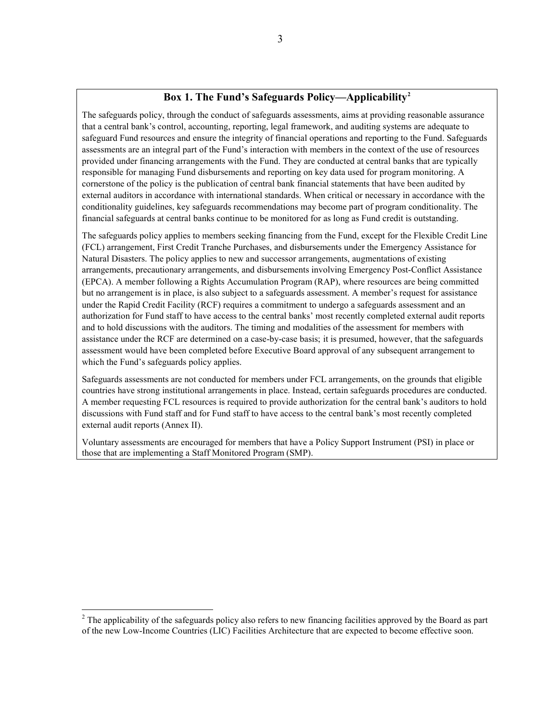### **Box 1. The Fund's Safeguards Policy—Applicability[2](#page-2-0)**

The safeguards policy, through the conduct of safeguards assessments, aims at providing reasonable assurance that a central bank's control, accounting, reporting, legal framework, and auditing systems are adequate to safeguard Fund resources and ensure the integrity of financial operations and reporting to the Fund. Safeguards assessments are an integral part of the Fund's interaction with members in the context of the use of resources provided under financing arrangements with the Fund. They are conducted at central banks that are typically responsible for managing Fund disbursements and reporting on key data used for program monitoring. A cornerstone of the policy is the publication of central bank financial statements that have been audited by external auditors in accordance with international standards. When critical or necessary in accordance with the conditionality guidelines, key safeguards recommendations may become part of program conditionality. The financial safeguards at central banks continue to be monitored for as long as Fund credit is outstanding.

The safeguards policy applies to members seeking financing from the Fund, except for the Flexible Credit Line (FCL) arrangement, First Credit Tranche Purchases, and disbursements under the Emergency Assistance for Natural Disasters. The policy applies to new and successor arrangements, augmentations of existing arrangements, precautionary arrangements, and disbursements involving Emergency Post-Conflict Assistance (EPCA). A member following a Rights Accumulation Program (RAP), where resources are being committed but no arrangement is in place, is also subject to a safeguards assessment. A member's request for assistance under the Rapid Credit Facility (RCF) requires a commitment to undergo a safeguards assessment and an authorization for Fund staff to have access to the central banks' most recently completed external audit reports and to hold discussions with the auditors. The timing and modalities of the assessment for members with assistance under the RCF are determined on a case-by-case basis; it is presumed, however, that the safeguards assessment would have been completed before Executive Board approval of any subsequent arrangement to which the Fund's safeguards policy applies.

Safeguards assessments are not conducted for members under FCL arrangements, on the grounds that eligible countries have strong institutional arrangements in place. Instead, certain safeguards procedures are conducted. A member requesting FCL resources is required to provide authorization for the central bank's auditors to hold discussions with Fund staff and for Fund staff to have access to the central bank's most recently completed external audit reports (Annex II).

Voluntary assessments are encouraged for members that have a Policy Support Instrument (PSI) in place or those that are implementing a Staff Monitored Program (SMP).

<span id="page-2-0"></span><sup>&</sup>lt;sup>2</sup> The applicability of the safeguards policy also refers to new financing facilities approved by the Board as part of the new Low-Income Countries (LIC) Facilities Architecture that are expected to become effective soon.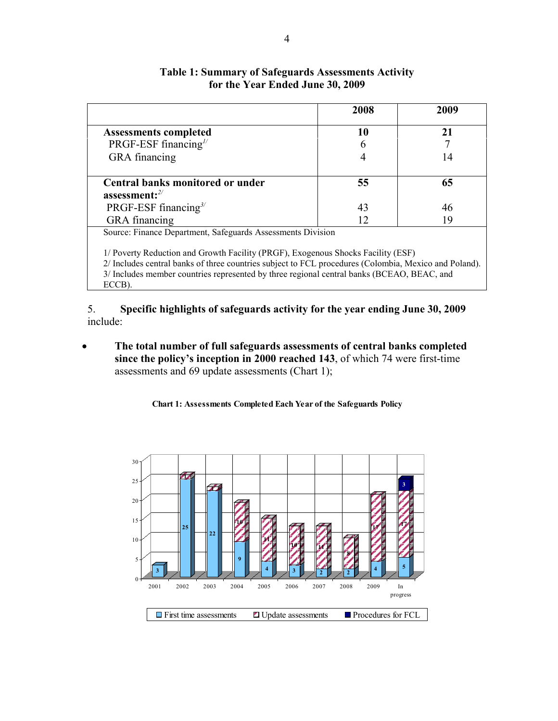|                                                                                                                                                                                                                                                                                                   | 2008 | 2009 |
|---------------------------------------------------------------------------------------------------------------------------------------------------------------------------------------------------------------------------------------------------------------------------------------------------|------|------|
| <b>Assessments completed</b>                                                                                                                                                                                                                                                                      | 10   | 21   |
| PRGF-ESF financing $\frac{1}{2}$                                                                                                                                                                                                                                                                  | 6    |      |
| GRA financing                                                                                                                                                                                                                                                                                     |      | 14   |
| Central banks monitored or under                                                                                                                                                                                                                                                                  | 55   | 65   |
| assessment: $2/$                                                                                                                                                                                                                                                                                  |      |      |
| PRGF-ESF financing <sup>3/</sup>                                                                                                                                                                                                                                                                  | 43   | 46   |
| <b>GRA</b> financing                                                                                                                                                                                                                                                                              | 12   | 19   |
| Source: Finance Department, Safeguards Assessments Division                                                                                                                                                                                                                                       |      |      |
| 1/ Poverty Reduction and Growth Facility (PRGF), Exogenous Shocks Facility (ESF)<br>2/ Includes central banks of three countries subject to FCL procedures (Colombia, Mexico and Poland).<br>3/ Includes member countries represented by three regional central banks (BCEAO, BEAC, and<br>ECCB). |      |      |

# **Table 1: Summary of Safeguards Assessments Activity for the Year Ended June 30, 2009**

5. **Specific highlights of safeguards activity for the year ending June 30, 2009** include:

• **The total number of full safeguards assessments of central banks completed since the policy's inception in 2000 reached 143**, of which 74 were first-time assessments and 69 update assessments (Chart 1);

**Chart 1: Assessments Completed Each Year of the Safeguards Policy**

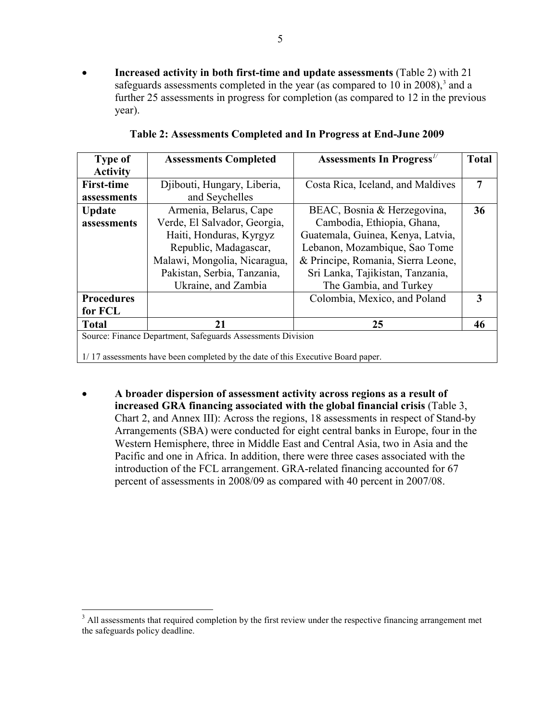• **Increased activity in both first-time and update assessments** (Table 2) with 21 safeguards assessments completed in the year (as compared to  $10$  in  $2008$ ),<sup>[3](#page-5-0)</sup> and a further 25 assessments in progress for completion (as compared to 12 in the previous year).

| <b>Type of</b>                                              | <b>Assessments Completed</b>                                                    | <b>Assessments In Progress</b> "   | <b>Total</b> |  |  |
|-------------------------------------------------------------|---------------------------------------------------------------------------------|------------------------------------|--------------|--|--|
| <b>Activity</b>                                             |                                                                                 |                                    |              |  |  |
| <b>First-time</b>                                           | Djibouti, Hungary, Liberia,                                                     | Costa Rica, Iceland, and Maldives  | 7            |  |  |
| assessments                                                 | and Seychelles                                                                  |                                    |              |  |  |
| <b>Update</b>                                               | Armenia, Belarus, Cape                                                          | BEAC, Bosnia & Herzegovina,        | 36           |  |  |
| assessments                                                 | Verde, El Salvador, Georgia,                                                    | Cambodia, Ethiopia, Ghana,         |              |  |  |
|                                                             | Haiti, Honduras, Kyrgyz                                                         | Guatemala, Guinea, Kenya, Latvia,  |              |  |  |
|                                                             | Republic, Madagascar,                                                           | Lebanon, Mozambique, Sao Tome      |              |  |  |
|                                                             | Malawi, Mongolia, Nicaragua,                                                    | & Principe, Romania, Sierra Leone, |              |  |  |
|                                                             | Pakistan, Serbia, Tanzania,                                                     | Sri Lanka, Tajikistan, Tanzania,   |              |  |  |
|                                                             | Ukraine, and Zambia                                                             | The Gambia, and Turkey             |              |  |  |
| <b>Procedures</b>                                           |                                                                                 | Colombia, Mexico, and Poland       | 3            |  |  |
| for FCL                                                     |                                                                                 |                                    |              |  |  |
| <b>Total</b>                                                | 21                                                                              | 25                                 | 46           |  |  |
| Source: Finance Department, Safeguards Assessments Division |                                                                                 |                                    |              |  |  |
|                                                             | 1/17 assessments have been completed by the date of this Executive Board paper. |                                    |              |  |  |

• **A broader dispersion of assessment activity across regions as a result of increased GRA financing associated with the global financial crisis** (Table 3, Chart 2, and Annex III): Across the regions, 18 assessments in respect of Stand-by Arrangements (SBA) were conducted for eight central banks in Europe, four in the Western Hemisphere, three in Middle East and Central Asia, two in Asia and the Pacific and one in Africa. In addition, there were three cases associated with the introduction of the FCL arrangement. GRA-related financing accounted for 67 percent of assessments in 2008/09 as compared with 40 percent in 2007/08.

<sup>&</sup>lt;sup>3</sup> All assessments that required completion by the first review under the respective financing arrangement met the safeguards policy deadline.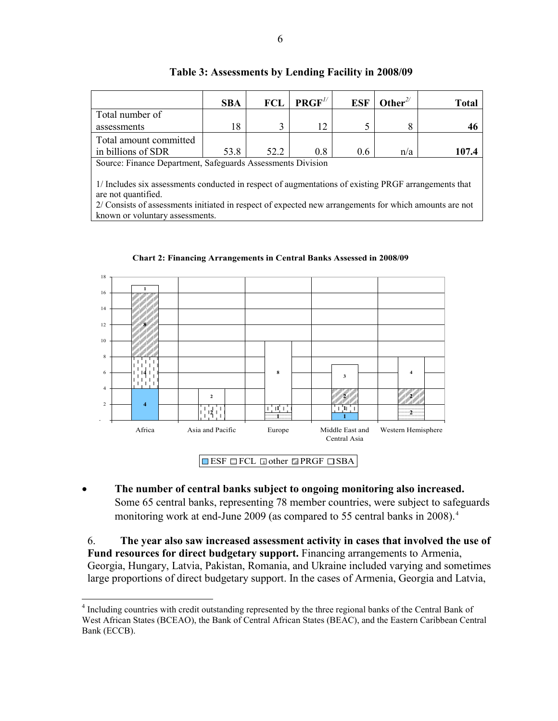|                                                                                                                             | <b>SBA</b> | <b>FCL</b> | $\mathbf{PRGF}^{1/2}$ | <b>ESF</b> | Other <sup>2/</sup> | Total |
|-----------------------------------------------------------------------------------------------------------------------------|------------|------------|-----------------------|------------|---------------------|-------|
| Total number of                                                                                                             |            |            |                       |            |                     |       |
| assessments                                                                                                                 | 18         | 3          | 12                    |            |                     | 46    |
| Total amount committed                                                                                                      |            |            |                       |            |                     |       |
| in billions of SDR                                                                                                          | 53.8       | 52.2       | 0.8                   | 0.6        | n/a                 | 107.4 |
| Source: Finance Department, Safeguards Assessments Division                                                                 |            |            |                       |            |                     |       |
| 1/ Includes six assessments conducted in respect of augmentations of existing PRGF arrangements that<br>are not quantified. |            |            |                       |            |                     |       |

**Table 3: Assessments by Lending Facility in 2008/09**

2/ Consists of assessments initiated in respect of expected new arrangements for which amounts are not known or voluntary assessments.



**Chart 2: Financing Arrangements in Central Banks Assessed in 2008/09**

• **The number of central banks subject to ongoing monitoring also increased.** Some 65 central banks, representing 78 member countries, were subject to safeguards monitoring work at end-June 2009 (as compared to 55 central banks in 2008).<sup>[4](#page-6-0)</sup>

6. **The year also saw increased assessment activity in cases that involved the use of Fund resources for direct budgetary support.** Financing arrangements to Armenia, Georgia, Hungary, Latvia, Pakistan, Romania, and Ukraine included varying and sometimes large proportions of direct budgetary support. In the cases of Armenia, Georgia and Latvia,

<span id="page-5-0"></span> <sup>4</sup> Including countries with credit outstanding represented by the three regional banks of the Central Bank of West African States (BCEAO), the Bank of Central African States (BEAC), and the Eastern Caribbean Central Bank (ECCB).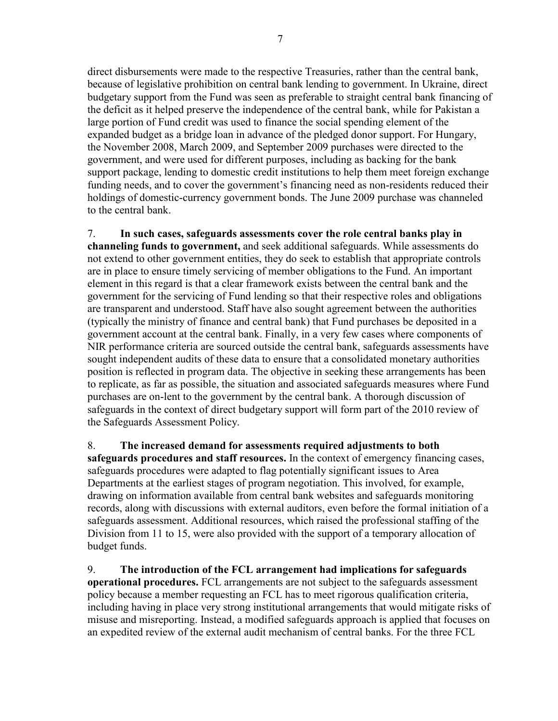direct disbursements were made to the respective Treasuries, rather than the central bank, because of legislative prohibition on central bank lending to government. In Ukraine, direct budgetary support from the Fund was seen as preferable to straight central bank financing of the deficit as it helped preserve the independence of the central bank, while for Pakistan a large portion of Fund credit was used to finance the social spending element of the expanded budget as a bridge loan in advance of the pledged donor support. For Hungary, the November 2008, March 2009, and September 2009 purchases were directed to the government, and were used for different purposes, including as backing for the bank support package, lending to domestic credit institutions to help them meet foreign exchange funding needs, and to cover the government's financing need as non-residents reduced their holdings of domestic-currency government bonds. The June 2009 purchase was channeled to the central bank.

7. **In such cases, safeguards assessments cover the role central banks play in channeling funds to government,** and seek additional safeguards. While assessments do not extend to other government entities, they do seek to establish that appropriate controls are in place to ensure timely servicing of member obligations to the Fund. An important element in this regard is that a clear framework exists between the central bank and the government for the servicing of Fund lending so that their respective roles and obligations are transparent and understood. Staff have also sought agreement between the authorities (typically the ministry of finance and central bank) that Fund purchases be deposited in a government account at the central bank. Finally, in a very few cases where components of NIR performance criteria are sourced outside the central bank, safeguards assessments have sought independent audits of these data to ensure that a consolidated monetary authorities position is reflected in program data. The objective in seeking these arrangements has been to replicate, as far as possible, the situation and associated safeguards measures where Fund purchases are on-lent to the government by the central bank. A thorough discussion of safeguards in the context of direct budgetary support will form part of the 2010 review of the Safeguards Assessment Policy.

8. **The increased demand for assessments required adjustments to both safeguards procedures and staff resources.** In the context of emergency financing cases, safeguards procedures were adapted to flag potentially significant issues to Area Departments at the earliest stages of program negotiation. This involved, for example, drawing on information available from central bank websites and safeguards monitoring records, along with discussions with external auditors, even before the formal initiation of a safeguards assessment. Additional resources, which raised the professional staffing of the Division from 11 to 15, were also provided with the support of a temporary allocation of budget funds.

<span id="page-6-0"></span>9. **The introduction of the FCL arrangement had implications for safeguards operational procedures.** FCL arrangements are not subject to the safeguards assessment policy because a member requesting an FCL has to meet rigorous qualification criteria, including having in place very strong institutional arrangements that would mitigate risks of misuse and misreporting. Instead, a modified safeguards approach is applied that focuses on an expedited review of the external audit mechanism of central banks. For the three FCL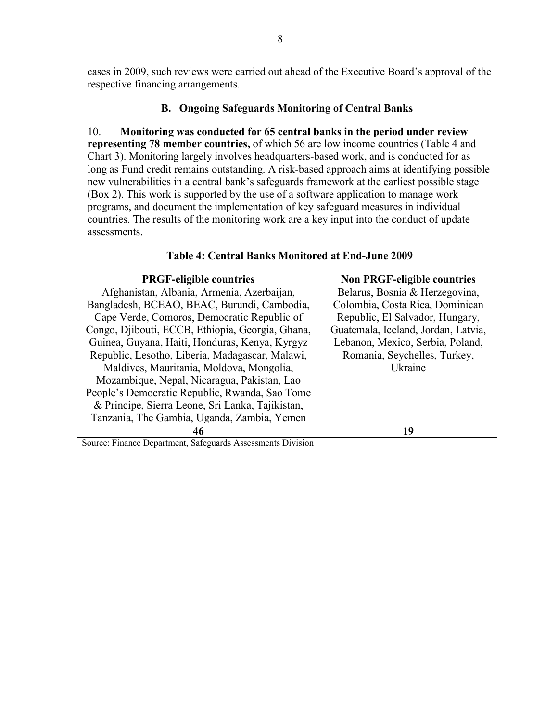cases in 2009, such reviews were carried out ahead of the Executive Board's approval of the respective financing arrangements.

#### **B. Ongoing Safeguards Monitoring of Central Banks**

10. **Monitoring was conducted for 65 central banks in the period under review representing 78 member countries,** of which 56 are low income countries (Table 4 and Chart 3). Monitoring largely involves headquarters-based work, and is conducted for as long as Fund credit remains outstanding. A risk-based approach aims at identifying possible new vulnerabilities in a central bank's safeguards framework at the earliest possible stage (Box 2). This work is supported by the use of a software application to manage work programs, and document the implementation of key safeguard measures in individual countries. The results of the monitoring work are a key input into the conduct of update assessments.

| <b>PRGF-eligible countries</b>                              | <b>Non PRGF-eligible countries</b>  |
|-------------------------------------------------------------|-------------------------------------|
| Afghanistan, Albania, Armenia, Azerbaijan,                  | Belarus, Bosnia & Herzegovina,      |
| Bangladesh, BCEAO, BEAC, Burundi, Cambodia,                 | Colombia, Costa Rica, Dominican     |
| Cape Verde, Comoros, Democratic Republic of                 | Republic, El Salvador, Hungary,     |
| Congo, Djibouti, ECCB, Ethiopia, Georgia, Ghana,            | Guatemala, Iceland, Jordan, Latvia, |
| Guinea, Guyana, Haiti, Honduras, Kenya, Kyrgyz              | Lebanon, Mexico, Serbia, Poland,    |
| Republic, Lesotho, Liberia, Madagascar, Malawi,             | Romania, Seychelles, Turkey,        |
| Maldives, Mauritania, Moldova, Mongolia,                    | Ukraine                             |
| Mozambique, Nepal, Nicaragua, Pakistan, Lao                 |                                     |
| People's Democratic Republic, Rwanda, Sao Tome              |                                     |
| & Principe, Sierra Leone, Sri Lanka, Tajikistan,            |                                     |
| Tanzania, The Gambia, Uganda, Zambia, Yemen                 |                                     |
| 46                                                          | 19                                  |
| Source: Finance Department, Safeguards Assessments Division |                                     |

#### **Table 4: Central Banks Monitored at End-June 2009**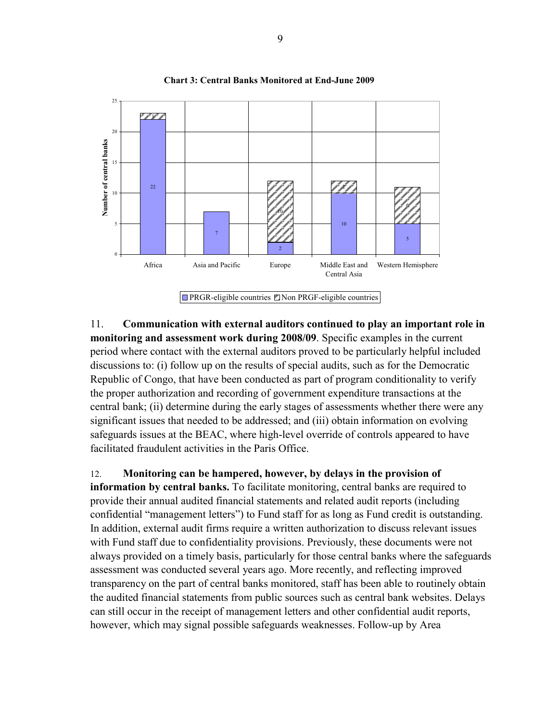

**Chart 3: Central Banks Monitored at End-June 2009**

11. **Communication with external auditors continued to play an important role in monitoring and assessment work during 2008/09**. Specific examples in the current period where contact with the external auditors proved to be particularly helpful included discussions to: (i) follow up on the results of special audits, such as for the Democratic Republic of Congo, that have been conducted as part of program conditionality to verify the proper authorization and recording of government expenditure transactions at the central bank; (ii) determine during the early stages of assessments whether there were any significant issues that needed to be addressed; and (iii) obtain information on evolving safeguards issues at the BEAC, where high-level override of controls appeared to have facilitated fraudulent activities in the Paris Office.

12. **Monitoring can be hampered, however, by delays in the provision of information by central banks.** To facilitate monitoring, central banks are required to provide their annual audited financial statements and related audit reports (including confidential "management letters") to Fund staff for as long as Fund credit is outstanding. In addition, external audit firms require a written authorization to discuss relevant issues with Fund staff due to confidentiality provisions. Previously, these documents were not always provided on a timely basis, particularly for those central banks where the safeguards assessment was conducted several years ago. More recently, and reflecting improved transparency on the part of central banks monitored, staff has been able to routinely obtain the audited financial statements from public sources such as central bank websites. Delays can still occur in the receipt of management letters and other confidential audit reports, however, which may signal possible safeguards weaknesses. Follow-up by Area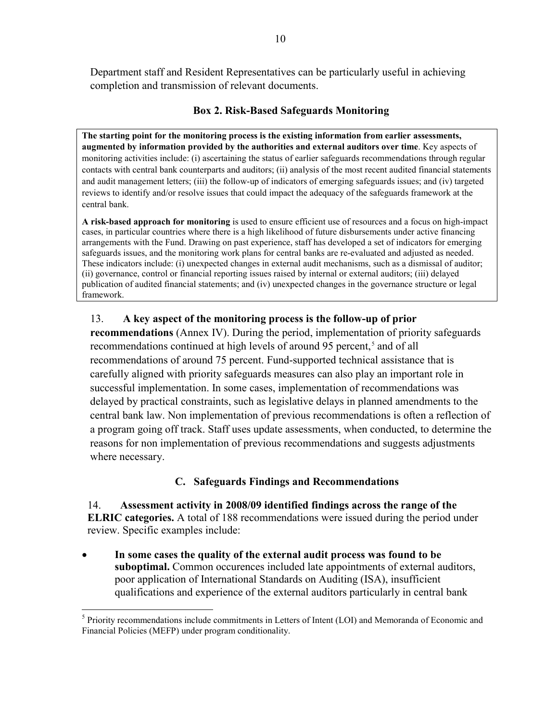Department staff and Resident Representatives can be particularly useful in achieving completion and transmission of relevant documents.

# **Box 2. Risk-Based Safeguards Monitoring**

**The starting point for the monitoring process is the existing information from earlier assessments, augmented by information provided by the authorities and external auditors over time**. Key aspects of monitoring activities include: (i) ascertaining the status of earlier safeguards recommendations through regular contacts with central bank counterparts and auditors; (ii) analysis of the most recent audited financial statements and audit management letters; (iii) the follow-up of indicators of emerging safeguards issues; and (iv) targeted reviews to identify and/or resolve issues that could impact the adequacy of the safeguards framework at the central bank.

**A risk-based approach for monitoring** is used to ensure efficient use of resources and a focus on high-impact cases, in particular countries where there is a high likelihood of future disbursements under active financing arrangements with the Fund. Drawing on past experience, staff has developed a set of indicators for emerging safeguards issues, and the monitoring work plans for central banks are re-evaluated and adjusted as needed. These indicators include: (i) unexpected changes in external audit mechanisms, such as a dismissal of auditor; (ii) governance, control or financial reporting issues raised by internal or external auditors; (iii) delayed publication of audited financial statements; and (iv) unexpected changes in the governance structure or legal framework.

# 13. **A key aspect of the monitoring process is the follow-up of prior**

**recommendations** (Annex IV). During the period, implementation of priority safeguards recommendations continued at high levels of around 9[5](#page-10-0) percent,<sup>5</sup> and of all recommendations of around 75 percent. Fund-supported technical assistance that is carefully aligned with priority safeguards measures can also play an important role in successful implementation. In some cases, implementation of recommendations was delayed by practical constraints, such as legislative delays in planned amendments to the central bank law. Non implementation of previous recommendations is often a reflection of a program going off track. Staff uses update assessments, when conducted, to determine the reasons for non implementation of previous recommendations and suggests adjustments where necessary.

# **C. Safeguards Findings and Recommendations**

14. **Assessment activity in 2008/09 identified findings across the range of the ELRIC categories.** A total of 188 recommendations were issued during the period under review. Specific examples include:

• **In some cases the quality of the external audit process was found to be suboptimal.** Common occurences included late appointments of external auditors, poor application of International Standards on Auditing (ISA), insufficient qualifications and experience of the external auditors particularly in central bank

 <sup>5</sup> Priority recommendations include commitments in Letters of Intent (LOI) and Memoranda of Economic and Financial Policies (MEFP) under program conditionality.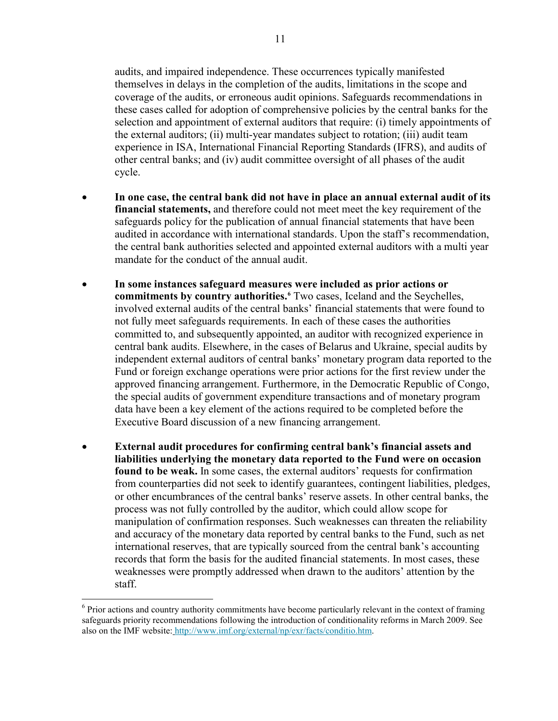audits, and impaired independence. These occurrences typically manifested themselves in delays in the completion of the audits, limitations in the scope and coverage of the audits, or erroneous audit opinions. Safeguards recommendations in these cases called for adoption of comprehensive policies by the central banks for the selection and appointment of external auditors that require: (i) timely appointments of the external auditors; (ii) multi-year mandates subject to rotation; (iii) audit team experience in ISA, International Financial Reporting Standards (IFRS), and audits of other central banks; and (iv) audit committee oversight of all phases of the audit cycle.

- **In one case, the central bank did not have in place an annual external audit of its financial statements,** and therefore could not meet meet the key requirement of the safeguards policy for the publication of annual financial statements that have been audited in accordance with international standards. Upon the staff's recommendation, the central bank authorities selected and appointed external auditors with a multi year mandate for the conduct of the annual audit.
- **In some instances safeguard measures were included as prior actions or commitments by country authorities.[6](#page-11-0)** Two cases, Iceland and the Seychelles, involved external audits of the central banks' financial statements that were found to not fully meet safeguards requirements. In each of these cases the authorities committed to, and subsequently appointed, an auditor with recognized experience in central bank audits. Elsewhere, in the cases of Belarus and Ukraine, special audits by independent external auditors of central banks' monetary program data reported to the Fund or foreign exchange operations were prior actions for the first review under the approved financing arrangement. Furthermore, in the Democratic Republic of Congo, the special audits of government expenditure transactions and of monetary program data have been a key element of the actions required to be completed before the Executive Board discussion of a new financing arrangement.
- **External audit procedures for confirming central bank's financial assets and liabilities underlying the monetary data reported to the Fund were on occasion found to be weak.** In some cases, the external auditors' requests for confirmation from counterparties did not seek to identify guarantees, contingent liabilities, pledges, or other encumbrances of the central banks' reserve assets. In other central banks, the process was not fully controlled by the auditor, which could allow scope for manipulation of confirmation responses. Such weaknesses can threaten the reliability and accuracy of the monetary data reported by central banks to the Fund, such as net international reserves, that are typically sourced from the central bank's accounting records that form the basis for the audited financial statements. In most cases, these weaknesses were promptly addressed when drawn to the auditors' attention by the staff.

<span id="page-10-0"></span><sup>&</sup>lt;sup>6</sup> Prior actions and country authority commitments have become particularly relevant in the context of framing safeguards priority recommendations following the introduction of conditionality reforms in March 2009. See also on the IMF website: [http://www.imf.org/external/np/exr/facts/conditio.htm.](http://0-www-imf-org.library.svsu.edu/external/np/exr/facts/conditio.htm)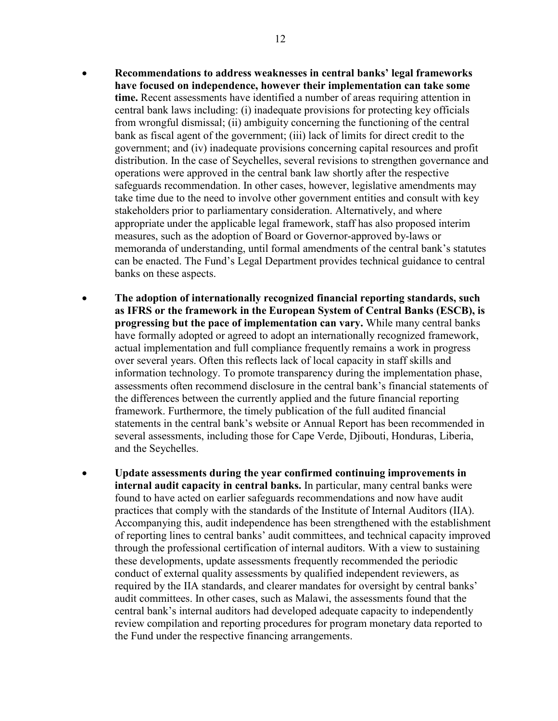- **Recommendations to address weaknesses in central banks' legal frameworks have focused on independence, however their implementation can take some time.** Recent assessments have identified a number of areas requiring attention in central bank laws including: (i) inadequate provisions for protecting key officials from wrongful dismissal; (ii) ambiguity concerning the functioning of the central bank as fiscal agent of the government; (iii) lack of limits for direct credit to the government; and (iv) inadequate provisions concerning capital resources and profit distribution. In the case of Seychelles, several revisions to strengthen governance and operations were approved in the central bank law shortly after the respective safeguards recommendation. In other cases, however, legislative amendments may take time due to the need to involve other government entities and consult with key stakeholders prior to parliamentary consideration. Alternatively, and where appropriate under the applicable legal framework, staff has also proposed interim measures, such as the adoption of Board or Governor-approved by-laws or memoranda of understanding, until formal amendments of the central bank's statutes can be enacted. The Fund's Legal Department provides technical guidance to central banks on these aspects.
- **The adoption of internationally recognized financial reporting standards, such as IFRS or the framework in the European System of Central Banks (ESCB), is progressing but the pace of implementation can vary.** While many central banks have formally adopted or agreed to adopt an internationally recognized framework, actual implementation and full compliance frequently remains a work in progress over several years. Often this reflects lack of local capacity in staff skills and information technology. To promote transparency during the implementation phase, assessments often recommend disclosure in the central bank's financial statements of the differences between the currently applied and the future financial reporting framework. Furthermore, the timely publication of the full audited financial statements in the central bank's website or Annual Report has been recommended in several assessments, including those for Cape Verde, Djibouti, Honduras, Liberia, and the Seychelles.
- <span id="page-11-0"></span>• **Update assessments during the year confirmed continuing improvements in internal audit capacity in central banks.** In particular, many central banks were found to have acted on earlier safeguards recommendations and now have audit practices that comply with the standards of the Institute of Internal Auditors (IIA). Accompanying this, audit independence has been strengthened with the establishment of reporting lines to central banks' audit committees, and technical capacity improved through the professional certification of internal auditors. With a view to sustaining these developments, update assessments frequently recommended the periodic conduct of external quality assessments by qualified independent reviewers, as required by the IIA standards, and clearer mandates for oversight by central banks' audit committees. In other cases, such as Malawi, the assessments found that the central bank's internal auditors had developed adequate capacity to independently review compilation and reporting procedures for program monetary data reported to the Fund under the respective financing arrangements.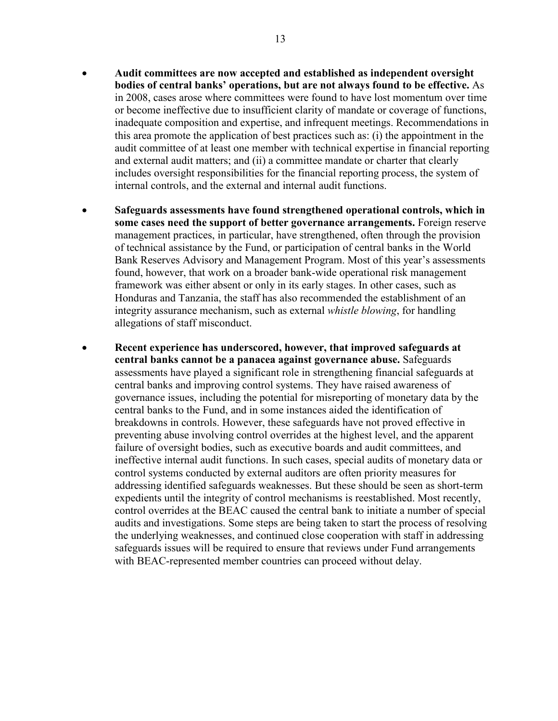- **Audit committees are now accepted and established as independent oversight bodies of central banks' operations, but are not always found to be effective.** As in 2008, cases arose where committees were found to have lost momentum over time or become ineffective due to insufficient clarity of mandate or coverage of functions, inadequate composition and expertise, and infrequent meetings. Recommendations in this area promote the application of best practices such as: (i) the appointment in the audit committee of at least one member with technical expertise in financial reporting and external audit matters; and (ii) a committee mandate or charter that clearly includes oversight responsibilities for the financial reporting process, the system of internal controls, and the external and internal audit functions.
- **Safeguards assessments have found strengthened operational controls, which in some cases need the support of better governance arrangements.** Foreign reserve management practices, in particular, have strengthened, often through the provision of technical assistance by the Fund, or participation of central banks in the World Bank Reserves Advisory and Management Program. Most of this year's assessments found, however, that work on a broader bank-wide operational risk management framework was either absent or only in its early stages. In other cases, such as Honduras and Tanzania, the staff has also recommended the establishment of an integrity assurance mechanism, such as external *whistle blowing*, for handling allegations of staff misconduct.
- **Recent experience has underscored, however, that improved safeguards at central banks cannot be a panacea against governance abuse.** Safeguards assessments have played a significant role in strengthening financial safeguards at central banks and improving control systems. They have raised awareness of governance issues, including the potential for misreporting of monetary data by the central banks to the Fund, and in some instances aided the identification of breakdowns in controls. However, these safeguards have not proved effective in preventing abuse involving control overrides at the highest level, and the apparent failure of oversight bodies, such as executive boards and audit committees, and ineffective internal audit functions. In such cases, special audits of monetary data or control systems conducted by external auditors are often priority measures for addressing identified safeguards weaknesses. But these should be seen as short-term expedients until the integrity of control mechanisms is reestablished. Most recently, control overrides at the BEAC caused the central bank to initiate a number of special audits and investigations. Some steps are being taken to start the process of resolving the underlying weaknesses, and continued close cooperation with staff in addressing safeguards issues will be required to ensure that reviews under Fund arrangements with BEAC-represented member countries can proceed without delay.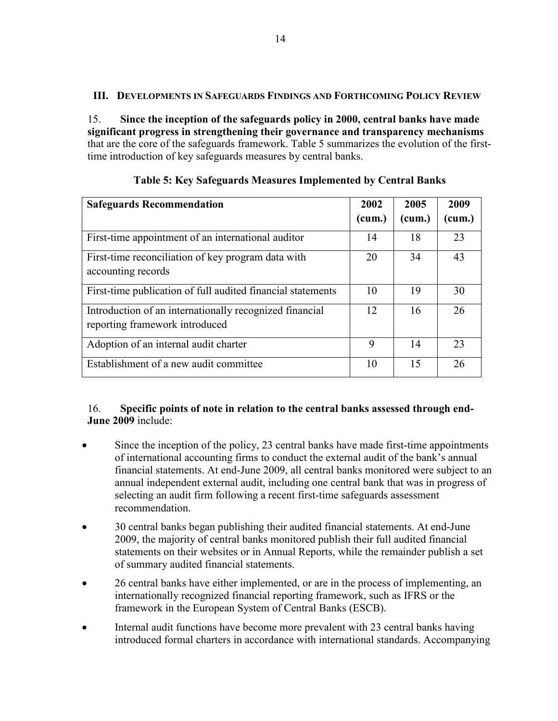# **III. DEVELOPMENTS IN SAFEGUARDS FINDINGS AND FORTHCOMING POLICY REVIEW**

15. **Since the inception of the safeguards policy in 2000, central banks have made significant progress in strengthening their governance and transparency mechanisms** that are the core of the safeguards framework. Table 5 summarizes the evolution of the firsttime introduction of key safeguards measures by central banks.

| <b>Safeguards Recommendation</b>                                                          | 2002<br>(cum.) | 2005<br>(cum.) | 2009<br>(cum.) |
|-------------------------------------------------------------------------------------------|----------------|----------------|----------------|
| First-time appointment of an international auditor                                        | 14             | 18             | 23             |
| First-time reconciliation of key program data with<br>accounting records                  | 20             | 34             | 43             |
| First-time publication of full audited financial statements                               | 10             | 19             | 30             |
| Introduction of an internationally recognized financial<br>reporting framework introduced | 12             | 16             | 26             |
| Adoption of an internal audit charter                                                     | 9              | 14             | 23             |
| Establishment of a new audit committee                                                    | 10             | 15             | 26             |

**Table 5: Key Safeguards Measures Implemented by Central Banks**

# 16. **Specific points of note in relation to the central banks assessed through end-June 2009** include:

- Since the inception of the policy, 23 central banks have made first-time appointments of international accounting firms to conduct the external audit of the bank's annual financial statements. At end-June 2009, all central banks monitored were subject to an annual independent external audit, including one central bank that was in progress of selecting an audit firm following a recent first-time safeguards assessment recommendation.
- 30 central banks began publishing their audited financial statements. At end-June 2009, the majority of central banks monitored publish their full audited financial statements on their websites or in Annual Reports, while the remainder publish a set of summary audited financial statements.
- 26 central banks have either implemented, or are in the process of implementing, an internationally recognized financial reporting framework, such as IFRS or the framework in the European System of Central Banks (ESCB).
- Internal audit functions have become more prevalent with 23 central banks having introduced formal charters in accordance with international standards. Accompanying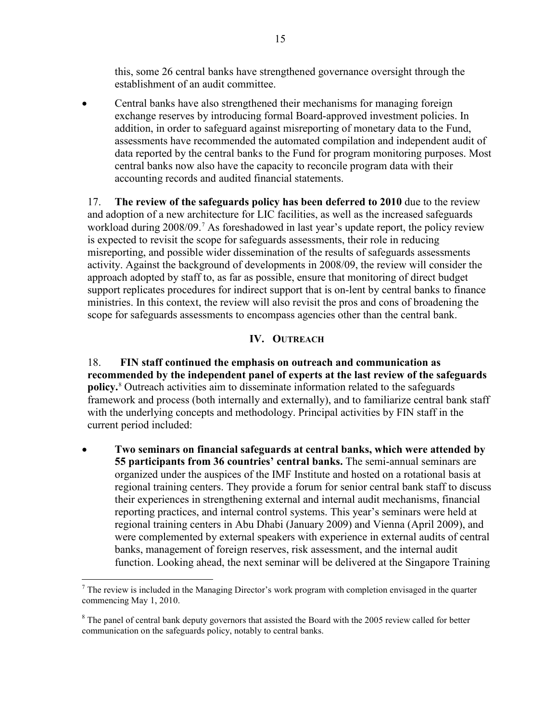this, some 26 central banks have strengthened governance oversight through the establishment of an audit committee.

• Central banks have also strengthened their mechanisms for managing foreign exchange reserves by introducing formal Board-approved investment policies. In addition, in order to safeguard against misreporting of monetary data to the Fund, assessments have recommended the automated compilation and independent audit of data reported by the central banks to the Fund for program monitoring purposes. Most central banks now also have the capacity to reconcile program data with their accounting records and audited financial statements.

17. **The review of the safeguards policy has been deferred to 2010** due to the review and adoption of a new architecture for LIC facilities, as well as the increased safeguards workload during 2008/09.<sup>[7](#page-15-0)</sup> As foreshadowed in last year's update report, the policy review is expected to revisit the scope for safeguards assessments, their role in reducing misreporting, and possible wider dissemination of the results of safeguards assessments activity. Against the background of developments in 2008/09, the review will consider the approach adopted by staff to, as far as possible, ensure that monitoring of direct budget support replicates procedures for indirect support that is on-lent by central banks to finance ministries. In this context, the review will also revisit the pros and cons of broadening the scope for safeguards assessments to encompass agencies other than the central bank.

# **IV. OUTREACH**

18. **FIN staff continued the emphasis on outreach and communication as recommended by the independent panel of experts at the last review of the safeguards policy.** [8](#page-15-1) Outreach activities aim to disseminate information related to the safeguards framework and process (both internally and externally), and to familiarize central bank staff with the underlying concepts and methodology. Principal activities by FIN staff in the current period included:

• **Two seminars on financial safeguards at central banks, which were attended by 55 participants from 36 countries' central banks.** The semi-annual seminars are organized under the auspices of the IMF Institute and hosted on a rotational basis at regional training centers. They provide a forum for senior central bank staff to discuss their experiences in strengthening external and internal audit mechanisms, financial reporting practices, and internal control systems. This year's seminars were held at regional training centers in Abu Dhabi (January 2009) and Vienna (April 2009), and were complemented by external speakers with experience in external audits of central banks, management of foreign reserves, risk assessment, and the internal audit function. Looking ahead, the next seminar will be delivered at the Singapore Training

 $<sup>7</sup>$  The review is included in the Managing Director's work program with completion envisaged in the quarter</sup> commencing May 1, 2010.

 $8$  The panel of central bank deputy governors that assisted the Board with the 2005 review called for better communication on the safeguards policy, notably to central banks.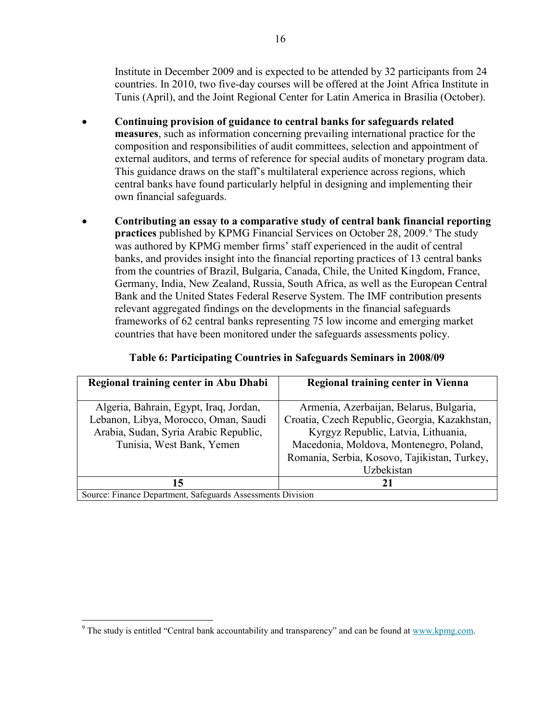Institute in December 2009 and is expected to be attended by 32 participants from 24 countries. In 2010, two five-day courses will be offered at the Joint Africa Institute in Tunis (April), and the Joint Regional Center for Latin America in Brasilia (October).

- **Continuing provision of guidance to central banks for safeguards related measures**, such as information concerning prevailing international practice for the composition and responsibilities of audit committees, selection and appointment of external auditors, and terms of reference for special audits of monetary program data. This guidance draws on the staff's multilateral experience across regions, which central banks have found particularly helpful in designing and implementing their own financial safeguards.
- **Contributing an essay to a comparative study of central bank financial reporting practices** published by KPMG Financial Services on October 28, 200[9](#page-16-0).<sup>9</sup> The study was authored by KPMG member firms' staff experienced in the audit of central banks, and provides insight into the financial reporting practices of 13 central banks from the countries of Brazil, Bulgaria, Canada, Chile, the United Kingdom, France, Germany, India, New Zealand, Russia, South Africa, as well as the European Central Bank and the United States Federal Reserve System. The IMF contribution presents relevant aggregated findings on the developments in the financial safeguards frameworks of 62 central banks representing 75 low income and emerging market countries that have been monitored under the safeguards assessments policy.

| Regional training center in Abu Dhabi                       | Regional training center in Vienna            |  |  |
|-------------------------------------------------------------|-----------------------------------------------|--|--|
|                                                             |                                               |  |  |
| Algeria, Bahrain, Egypt, Iraq, Jordan,                      | Armenia, Azerbaijan, Belarus, Bulgaria,       |  |  |
| Lebanon, Libya, Morocco, Oman, Saudi                        | Croatia, Czech Republic, Georgia, Kazakhstan, |  |  |
| Arabia, Sudan, Syria Arabic Republic,                       | Kyrgyz Republic, Latvia, Lithuania,           |  |  |
| Tunisia, West Bank, Yemen                                   | Macedonia, Moldova, Montenegro, Poland,       |  |  |
|                                                             | Romania, Serbia, Kosovo, Tajikistan, Turkey,  |  |  |
|                                                             | Uzbekistan                                    |  |  |
| 15                                                          |                                               |  |  |
| Source: Finance Department, Safeguards Assessments Division |                                               |  |  |

#### **Table 6: Participating Countries in Safeguards Seminars in 2008/09**

<span id="page-15-1"></span><span id="page-15-0"></span><sup>&</sup>lt;sup>9</sup> The study is entitled "Central bank accountability and transparency" and can be found at www.kpmg.com.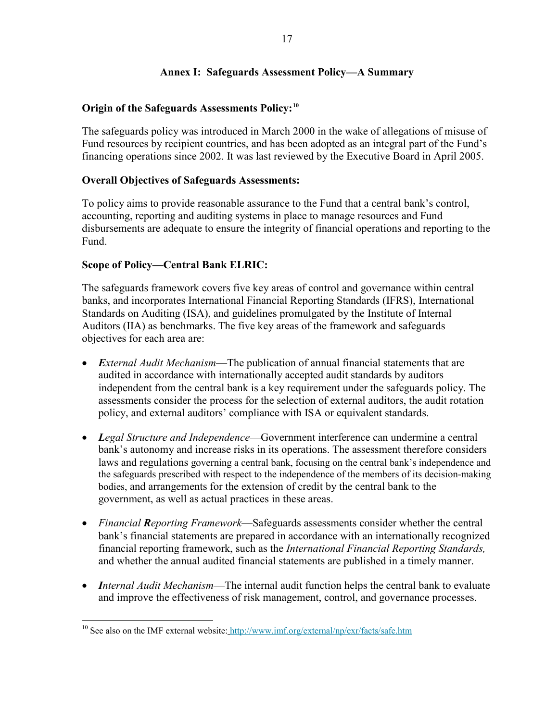#### **Annex I: Safeguards Assessment Policy—A Summary**

### **Origin of the Safeguards Assessments Policy:[10](#page-17-0)**

The safeguards policy was introduced in March 2000 in the wake of allegations of misuse of Fund resources by recipient countries, and has been adopted as an integral part of the Fund's financing operations since 2002. It was last reviewed by the Executive Board in April 2005.

#### **Overall Objectives of Safeguards Assessments:**

To policy aims to provide reasonable assurance to the Fund that a central bank's control, accounting, reporting and auditing systems in place to manage resources and Fund disbursements are adequate to ensure the integrity of financial operations and reporting to the Fund.

#### **Scope of Policy—Central Bank ELRIC:**

The safeguards framework covers five key areas of control and governance within central banks, and incorporates International Financial Reporting Standards (IFRS), International Standards on Auditing (ISA), and guidelines promulgated by the Institute of Internal Auditors (IIA) as benchmarks. The five key areas of the framework and safeguards objectives for each area are:

- *External Audit Mechanism*—The publication of annual financial statements that are audited in accordance with internationally accepted audit standards by auditors independent from the central bank is a key requirement under the safeguards policy. The assessments consider the process for the selection of external auditors, the audit rotation policy, and external auditors' compliance with ISA or equivalent standards.
- *Legal Structure and Independence*—Government interference can undermine a central bank's autonomy and increase risks in its operations. The assessment therefore considers laws and regulations governing a central bank, focusing on the central bank's independence and the safeguards prescribed with respect to the independence of the members of its decision-making bodies, and arrangements for the extension of credit by the central bank to the government, as well as actual practices in these areas.
- *Financial Reporting Framework*—Safeguards assessments consider whether the central bank's financial statements are prepared in accordance with an internationally recognized financial reporting framework, such as the *International Financial Reporting Standards,* and whether the annual audited financial statements are published in a timely manner.
- *Internal Audit Mechanism*—The internal audit function helps the central bank to evaluate and improve the effectiveness of risk management, control, and governance processes.

<span id="page-16-0"></span><sup>&</sup>lt;sup>10</sup> See also on the IMF external website: [http://www.imf.org/external/np/exr/facts/safe.htm](http://0-www-imf-org.library.svsu.edu/external/np/exr/facts/safe.htm)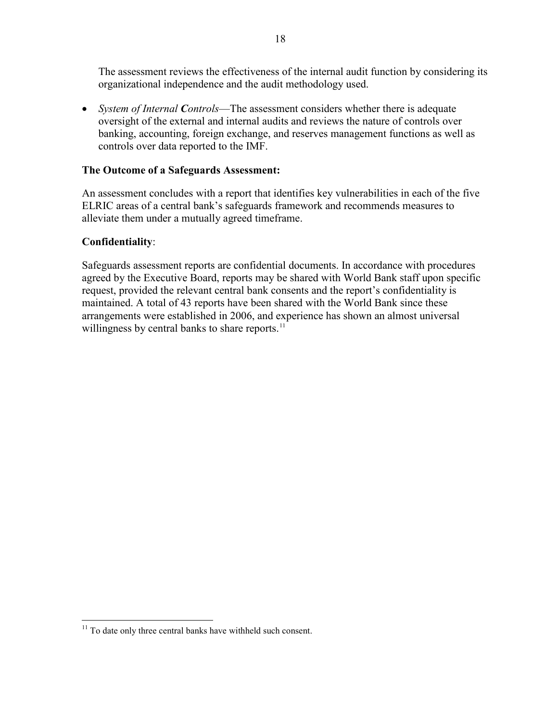The assessment reviews the effectiveness of the internal audit function by considering its organizational independence and the audit methodology used.

• *System of Internal Controls*—The assessment considers whether there is adequate oversight of the external and internal audits and reviews the nature of controls over banking, accounting, foreign exchange, and reserves management functions as well as controls over data reported to the IMF.

### **The Outcome of a Safeguards Assessment:**

An assessment concludes with a report that identifies key vulnerabilities in each of the five ELRIC areas of a central bank's safeguards framework and recommends measures to alleviate them under a mutually agreed timeframe.

#### **Confidentiality**:

Safeguards assessment reports are confidential documents. In accordance with procedures agreed by the Executive Board, reports may be shared with World Bank staff upon specific request, provided the relevant central bank consents and the report's confidentiality is maintained. A total of 43 reports have been shared with the World Bank since these arrangements were established in 2006, and experience has shown an almost universal willingness by central banks to share reports.<sup>[11](#page-18-0)</sup>

<span id="page-17-0"></span> $11$  To date only three central banks have withheld such consent.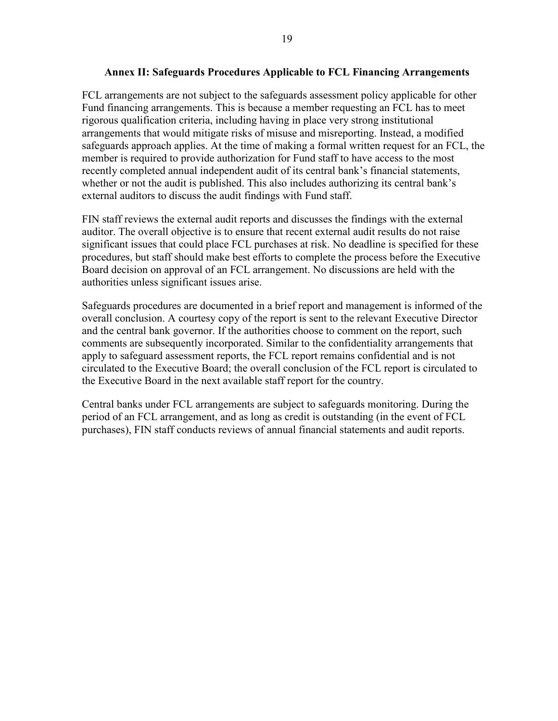#### **Annex II: Safeguards Procedures Applicable to FCL Financing Arrangements**

FCL arrangements are not subject to the safeguards assessment policy applicable for other Fund financing arrangements. This is because a member requesting an FCL has to meet rigorous qualification criteria, including having in place very strong institutional arrangements that would mitigate risks of misuse and misreporting. Instead, a modified safeguards approach applies. At the time of making a formal written request for an FCL, the member is required to provide authorization for Fund staff to have access to the most recently completed annual independent audit of its central bank's financial statements, whether or not the audit is published. This also includes authorizing its central bank's external auditors to discuss the audit findings with Fund staff.

FIN staff reviews the external audit reports and discusses the findings with the external auditor. The overall objective is to ensure that recent external audit results do not raise significant issues that could place FCL purchases at risk. No deadline is specified for these procedures, but staff should make best efforts to complete the process before the Executive Board decision on approval of an FCL arrangement. No discussions are held with the authorities unless significant issues arise.

Safeguards procedures are documented in a brief report and management is informed of the overall conclusion. A courtesy copy of the report is sent to the relevant Executive Director and the central bank governor. If the authorities choose to comment on the report, such comments are subsequently incorporated. Similar to the confidentiality arrangements that apply to safeguard assessment reports, the FCL report remains confidential and is not circulated to the Executive Board; the overall conclusion of the FCL report is circulated to the Executive Board in the next available staff report for the country.

<span id="page-18-0"></span>Central banks under FCL arrangements are subject to safeguards monitoring. During the period of an FCL arrangement, and as long as credit is outstanding (in the event of FCL purchases), FIN staff conducts reviews of annual financial statements and audit reports.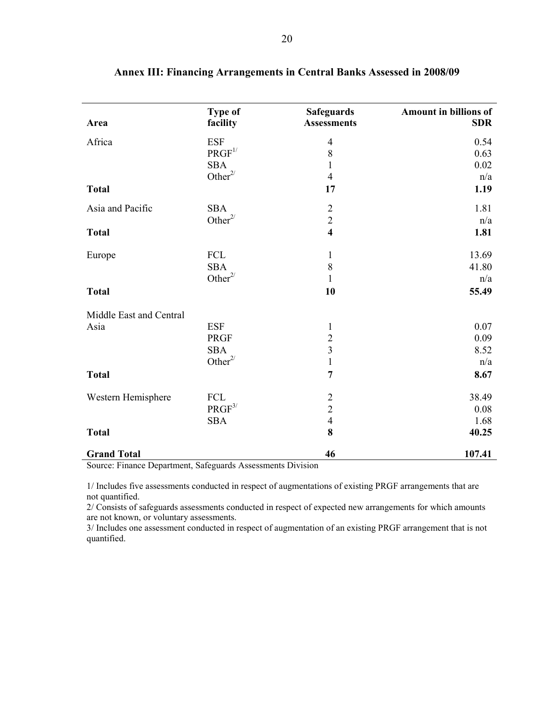| Area                    | Type of<br>facility | <b>Safeguards</b><br><b>Assessments</b> | Amount in billions of<br><b>SDR</b> |
|-------------------------|---------------------|-----------------------------------------|-------------------------------------|
| Africa                  | <b>ESF</b>          | $\overline{4}$                          | 0.54                                |
|                         | PRGF <sup>1/</sup>  | 8                                       | 0.63                                |
|                         | <b>SBA</b>          | 1                                       | 0.02                                |
|                         | Other $2/$          | $\overline{4}$                          | n/a                                 |
| <b>Total</b>            |                     | 17                                      | 1.19                                |
| Asia and Pacific        | <b>SBA</b>          | $\sqrt{2}$                              | 1.81                                |
|                         | Other $2/$          | $\overline{2}$                          | n/a                                 |
| <b>Total</b>            |                     | $\overline{\mathbf{4}}$                 | 1.81                                |
| Europe                  | FCL                 | $\mathbf{1}$                            | 13.69                               |
|                         | <b>SBA</b>          | 8                                       | 41.80                               |
|                         | Other $2/$          | 1                                       | n/a                                 |
| <b>Total</b>            |                     | 10                                      | 55.49                               |
| Middle East and Central |                     |                                         |                                     |
| Asia                    | <b>ESF</b>          | 1                                       | 0.07                                |
|                         | <b>PRGF</b>         | $\overline{2}$                          | 0.09                                |
|                         | <b>SBA</b>          | $\overline{3}$                          | 8.52                                |
|                         | Other $2/$          | $\mathbf{1}$                            | n/a                                 |
| <b>Total</b>            |                     | $\overline{7}$                          | 8.67                                |
| Western Hemisphere      | FCL                 |                                         | 38.49                               |
|                         | $PRGF^{3/}$         | $\frac{2}{2}$                           | 0.08                                |
|                         | <b>SBA</b>          | $\overline{4}$                          | 1.68                                |
| <b>Total</b>            |                     | 8                                       | 40.25                               |
| <b>Grand Total</b>      |                     | 46                                      | 107.41                              |

|  |  |  | Annex III: Financing Arrangements in Central Banks Assessed in 2008/09 |
|--|--|--|------------------------------------------------------------------------|
|--|--|--|------------------------------------------------------------------------|

Source: Finance Department, Safeguards Assessments Division

1/ Includes five assessments conducted in respect of augmentations of existing PRGF arrangements that are not quantified.

2/ Consists of safeguards assessments conducted in respect of expected new arrangements for which amounts are not known, or voluntary assessments.

3/ Includes one assessment conducted in respect of augmentation of an existing PRGF arrangement that is not quantified.